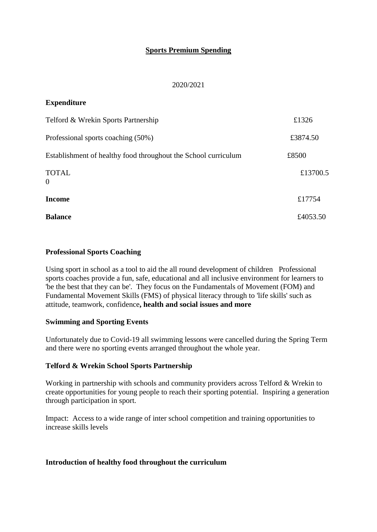# **Sports Premium Spending**

#### 2020/2021

## **Expenditure**

| Telford & Wrekin Sports Partnership                            | £1326    |
|----------------------------------------------------------------|----------|
| Professional sports coaching (50%)                             | £3874.50 |
| Establishment of healthy food throughout the School curriculum | £8500    |
| <b>TOTAL</b><br>$\Omega$                                       | £13700.5 |
| <b>Income</b>                                                  | £17754   |
| <b>Balance</b>                                                 | £4053.50 |

#### **Professional Sports Coaching**

Using sport in school as a tool to aid the all round development of children Professional sports coaches provide a fun, safe, educational and all inclusive environment for learners to 'be the best that they can be'. They focus on the Fundamentals of Movement (FOM) and Fundamental Movement Skills (FMS) of physical literacy through to 'life skills' such as attitude, teamwork, confidence**, health and social issues and more**

## **Swimming and Sporting Events**

Unfortunately due to Covid-19 all swimming lessons were cancelled during the Spring Term and there were no sporting events arranged throughout the whole year.

## **Telford & Wrekin School Sports Partnership**

Working in partnership with schools and community providers across Telford & Wrekin to create opportunities for young people to reach their sporting potential. Inspiring a generation through participation in sport.

Impact: Access to a wide range of inter school competition and training opportunities to increase skills levels

## **Introduction of healthy food throughout the curriculum**